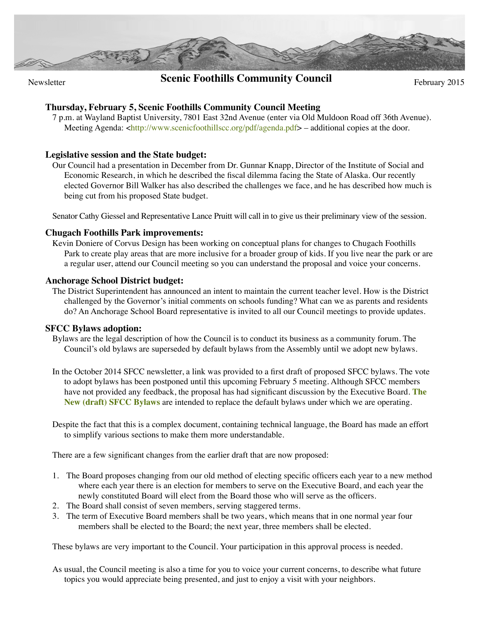

# **Scenic Foothills Community Council** February 2015

## **Thursday, February 5, Scenic Foothills Community Council Meeting**

7 p.m. at Wayland Baptist University, 7801 East 32nd Avenue (enter via Old Muldoon Road off 36th Avenue). Meeting Agenda: [<http://www.scenicfoothillscc.org/pdf/agenda.pdf>](http://www.scenicfoothillscc.org/pdf/agenda.pdf) – additional copies at the door.

### **Legislative session and the State budget:**

Our Council had a presentation in December from Dr. Gunnar Knapp, Director of the Institute of Social and Economic Research, in which he described the fiscal dilemma facing the State of Alaska. Our recently elected Governor Bill Walker has also described the challenges we face, and he has described how much is being cut from his proposed State budget.

Senator Cathy Giessel and Representative Lance Pruitt will call in to give us their preliminary view of the session.

### **Chugach Foothills Park improvements:**

Kevin Doniere of Corvus Design has been working on conceptual plans for changes to Chugach Foothills Park to create play areas that are more inclusive for a broader group of kids. If you live near the park or are a regular user, attend our Council meeting so you can understand the proposal and voice your concerns.

### **Anchorage School District budget:**

The District Superintendent has announced an intent to maintain the current teacher level. How is the District challenged by the Governor's initial comments on schools funding? What can we as parents and residents do? An Anchorage School Board representative is invited to all our Council meetings to provide updates.

### **SFCC Bylaws adoption:**

Bylaws are the legal description of how the Council is to conduct its business as a community forum. The Council's old bylaws are superseded by default bylaws from the Assembly until we adopt new bylaws.

In the October 2014 SFCC newsletter, a link was provided to a first draft of proposed SFCC bylaws. The vote to adopt bylaws has been postponed until this upcoming February 5 meeting. Although SFCC members have not provided any feedback, the proposal has had significant discussion by the Executive Board. **[The](http://www.scenicfoothillscc.org/pdf/SFCC_bylaws_proposed_15_02_05_v4.pdf)  [New \(draft\) SFCC Bylaws](http://www.scenicfoothillscc.org/pdf/SFCC_bylaws_proposed_15_02_05_v4.pdf)** are intended to replace the default bylaws under which we are operating.

Despite the fact that this is a complex document, containing technical language, the Board has made an effort to simplify various sections to make them more understandable.

There are a few significant changes from the earlier draft that are now proposed:

- 1. The Board proposes changing from our old method of electing specific officers each year to a new method where each year there is an election for members to serve on the Executive Board, and each year the newly constituted Board will elect from the Board those who will serve as the officers.
- 2. The Board shall consist of seven members, serving staggered terms.
- 3. The term of Executive Board members shall be two years, which means that in one normal year four members shall be elected to the Board; the next year, three members shall be elected.

These bylaws are very important to the Council. Your participation in this approval process is needed.

As usual, the Council meeting is also a time for you to voice your current concerns, to describe what future topics you would appreciate being presented, and just to enjoy a visit with your neighbors.